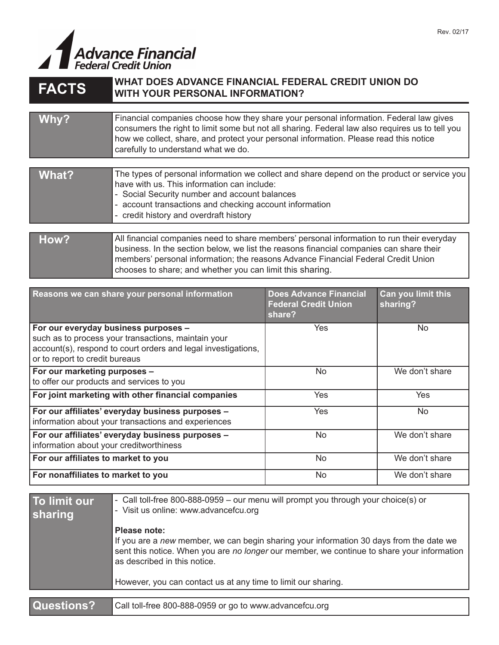

| <b>FACTS</b> | WHAT DUES ADVANGE FINANGIAL FEDERAL GREDIT UNION DO<br><b>WITH YOUR PERSONAL INFORMATION?</b>                                                                                                                                                                                                                                          |
|--------------|----------------------------------------------------------------------------------------------------------------------------------------------------------------------------------------------------------------------------------------------------------------------------------------------------------------------------------------|
|              |                                                                                                                                                                                                                                                                                                                                        |
| Why?         | Financial companies choose how they share your personal information. Federal law gives<br>consumers the right to limit some but not all sharing. Federal law also requires us to tell you<br>how we collect, share, and protect your personal information. Please read this notice<br>carefully to understand what we do.              |
|              |                                                                                                                                                                                                                                                                                                                                        |
| <b>What?</b> | The types of personal information we collect and share depend on the product or service you<br>have with us. This information can include:<br>- Social Security number and account balances<br>- account transactions and checking account information<br>- credit history and overdraft history                                       |
|              |                                                                                                                                                                                                                                                                                                                                        |
| How?         | All financial companies need to share members' personal information to run their everyday<br>business. In the section below, we list the reasons financial companies can share their<br>members' personal information; the reasons Advance Financial Federal Credit Union<br>chooses to share; and whether you can limit this sharing. |

| Reasons we can share your personal information                                                                                                                                                 | <b>Does Advance Financial</b><br><b>Federal Credit Union</b><br>share? | Can you limit this<br>sharing? |
|------------------------------------------------------------------------------------------------------------------------------------------------------------------------------------------------|------------------------------------------------------------------------|--------------------------------|
| For our everyday business purposes -<br>such as to process your transactions, maintain your<br>account(s), respond to court orders and legal investigations,<br>or to report to credit bureaus | Yes                                                                    | <b>No</b>                      |
| For our marketing purposes -<br>to offer our products and services to you                                                                                                                      | No                                                                     | We don't share                 |
| For joint marketing with other financial companies                                                                                                                                             | Yes                                                                    | Yes                            |
| For our affiliates' everyday business purposes -<br>information about your transactions and experiences                                                                                        | Yes                                                                    | <b>No</b>                      |
| For our affiliates' everyday business purposes -<br>information about your creditworthiness                                                                                                    | No.                                                                    | We don't share                 |
| For our affiliates to market to you                                                                                                                                                            | <b>No</b>                                                              | We don't share                 |
| For nonaffiliates to market to you                                                                                                                                                             | N <sub>0</sub>                                                         | We don't share                 |

| To limit our<br>sharing | - Call toll-free 800-888-0959 - our menu will prompt you through your choice(s) or<br>- Visit us online: www.advancefcu.org                                                                                           |  |
|-------------------------|-----------------------------------------------------------------------------------------------------------------------------------------------------------------------------------------------------------------------|--|
|                         | Please note:                                                                                                                                                                                                          |  |
|                         | If you are a new member, we can begin sharing your information 30 days from the date we<br>sent this notice. When you are no longer our member, we continue to share your information<br>as described in this notice. |  |
|                         | However, you can contact us at any time to limit our sharing.                                                                                                                                                         |  |
|                         |                                                                                                                                                                                                                       |  |
| Questions?              | Call toll-free 800-888-0959 or go to www.advancefcu.org                                                                                                                                                               |  |